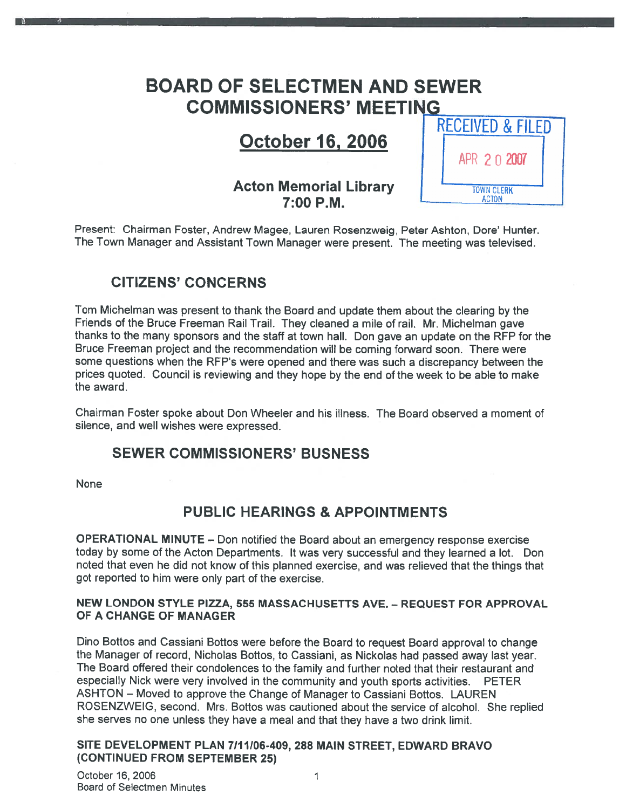# BOARD OF SELECTMEN AND SEWER COMMISSIONERS' MEETI

# October 16, 2006

## Acton Memorial Library 7:00 P.M.

| <b>RECEIVED &amp; FILED</b>       |  |
|-----------------------------------|--|
| APR 2 0 2007                      |  |
| <b>TOWN CLERK</b><br><b>ACTON</b> |  |

Present: Chairman Foster, Andrew Magee, Lauren Rosenzweig, Peter Ashton, Dore' Hunter. The Town Manager and Assistant Town Manager were present. The meeting was televised.

# CITIZENS' CONCERNS

Tom Michelman was presen<sup>t</sup> to thank the Board and update them about the clearing by the Friends of the Bruce Freeman Rail Trail. They cleaned <sup>a</sup> mile of rail. Mr. Michelman gave thanks to the many sponsors and the staff at town hall. Don gave an update on the RFP for the Bruce Freeman project and the recommendation will be coming forward soon. There were some questions when the RFP's were opened and there was such <sup>a</sup> discrepancy between the prices quoted. Council is reviewing and they hope by the end of the week to be able to make the award.

Chairman Foster spoke about Don Wheeler and his illness. The Board observed <sup>a</sup> moment of silence, and well wishes were expressed.

### SEWER COMMISSIONERS' BUSNESS

None

# PUBLIC HEARINGS & APPOINTMENTS

OPERATIONAL MINUTE — Don notified the Board about an emergency response exercise today by some of the Acton Departments. It was very successful and they learned <sup>a</sup> lot. Don noted that even he did not know of this <sup>p</sup>lanned exercise, and was relieved that the things that go<sup>t</sup> reported to him were only par<sup>t</sup> of the exercise.

#### NEW LONDON STYLE PIZZA, 555 MASSACHUSETTS AVE. — REQUEST FOR APPROVAL OF A CHANGE OF MANAGER

Dino Bottos and Cassiani Bottos were before the Board to reques<sup>t</sup> Board approva<sup>l</sup> to change the Manager of record, Nicholas Bottos, to Cassiani, as Nickolas had passe<sup>d</sup> away last year. The Board offered their condolences to the family and further noted that their restaurant and especially Nick were very involved in the community and youth sports activities. PETER ASHTON — Moved to approve the Change of Manager to Cassiani Bottos. LAUREN ROSENZWEIG, second. Mrs. Bottos was cautioned about the service of alcohol. She replied she serves no one unless they have <sup>a</sup> meal and that they have <sup>a</sup> two drink limit.

### SITE DEVELOPMENT PLAN 7/11/06-409, 288 MAIN STREET, EDWARD BRAVO (CONTINUED FROM SEPTEMBER 25)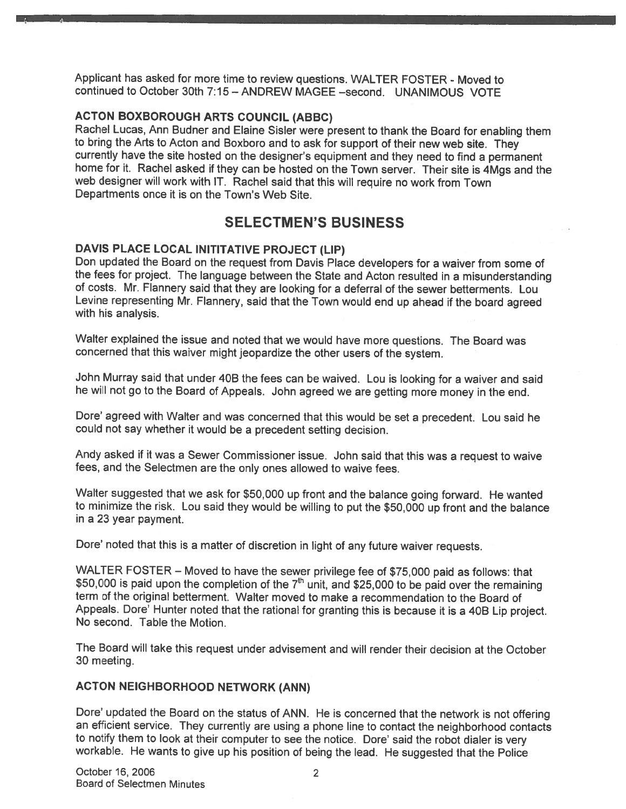Applicant has asked for more time to review questions. WALTER FOSTER - Moved to continued to October 30th 7:15 — ANDREW MAGEE —second. UNANIMOUS VOTE

### ACTON BOXBOROUGH ARTS COUNCIL (ABBC)

Rachel Lucas, Ann Budner and Elaine Sisler were presen<sup>t</sup> to thank the Board for enabling them to bring the Arts to Acton and Boxboro and to ask for suppor<sup>t</sup> of their new web site. They currently have the site hosted on the designer's equipment and they need to find <sup>a</sup> permanen<sup>t</sup> home for it. Rachel asked if they can be hosted on the Town server. Their site is 4Mgs and the web designer will work with IT. Rachel said that this will require no work from Town Departments once it is on the Town's Web Site.

# SELECTMEN'S BUSINESS

### DAVIS PLACE LOCAL INITITATIVE PROJECT (LIP)

Don updated the Board on the reques<sup>t</sup> from Davis Place developers for <sup>a</sup> waiver from some of the fees for project. The language between the State and Acton resulted in <sup>a</sup> misunderstanding of costs. Mr. Flannery said that they are looking for <sup>a</sup> deferral of the sewer betterments. Lou Levine representing Mr. Flannery, said that the Town would end up ahead if the board agree<sup>d</sup> with his analysis.

Walter explained the issue and noted that we would have more questions. The Board was concerned that this waiver might jeopardize the other users of the system.

John Murray said that under 4DB the fees can be waived. Lou is looking for <sup>a</sup> waiver and said he will not go to the Board of Appeals. John agree<sup>d</sup> we are getting more money in the end.

Dore' agree<sup>d</sup> with Walter and was concerned that this would be set <sup>a</sup> precedent. Lou said he could not say whether it would be <sup>a</sup> precedent setting decision.

Andy asked if it was <sup>a</sup> Sewer Commissioner issue. John said that this was <sup>a</sup> reques<sup>t</sup> to waive fees, and the Selectmen are the only ones allowed to waive fees.

Walter suggested that we ask for \$50,000 up front and the balance going forward. He wanted to minimize the risk. Lou said they would be willing to pu<sup>t</sup> the \$50,000 up front and the balance in <sup>a</sup> 23 year payment.

Dore' noted that this is <sup>a</sup> matter of discretion in light of any future waiver requests.

WALTER FOSTER — Moved to have the sewer privilege fee of \$75,000 paid as follows: that \$50,000 is paid upon the completion of the  $7<sup>th</sup>$  unit, and \$25,000 to be paid over the remaining term of the original betterment. Walter moved to make <sup>a</sup> recommendation to the Board of Appeals. Dore' Hunter noted that the rational for granting this is because it is <sup>a</sup> 4DB Lip project. No second. Table the Motion.

The Board will take this reques<sup>t</sup> under advisement and will render their decision at the October 30 meeting.

### ACTON NEIGHBORHOOD NETWORK (ANN)

Dore' updated the Board on the status of ANN. He is concerned that the network is not offering an efficient service. They currently are using a phone line to contact the neighborhood contacts<br>to notify them to look at their computer to see the notice. Dore' said the robot dialer is very workable. He wants to give up his position of being the lead. He suggested that the Police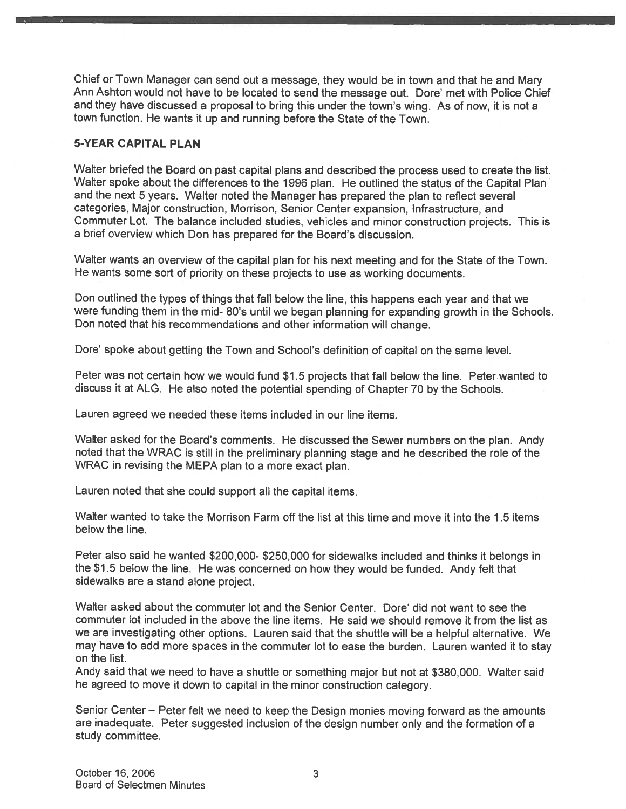Chief or Town Manager can send out <sup>a</sup> message, they would be in town and that he and Mary Ann Ashton would not have to be located to send the message out. Dore' met with Police Chief and they have discussed <sup>a</sup> proposa<sup>l</sup> to bring this under the town's wing. As of now, it is not <sup>a</sup> town function. He wants it up and running before the State of the Town.

### 5-YEAR CAPITAL PLAN

Walter briefed the Board on pas<sup>t</sup> capital <sup>p</sup>lans and described the process used to create the list. Walter spoke about the differences to the 1996 plan. He outlined the status of the Capital Plan and the next <sup>5</sup> years. Walter noted the Manager has prepare<sup>d</sup> the <sup>p</sup>lan to reflect several categories, Major construction, Morrison, Senior Center expansion, Infrastructure, and Commuter Lot. The balance included studies, vehicles and minor construction projects. This is <sup>a</sup> brief overview which Don has prepared for the Board's discussion.

Walter wants an overview of the capital <sup>p</sup>lan for his next meeting and for the State of the Town. He wants some sort of priority on these projects to use as working documents.

Don outlined the types of things that fall below the line, this happens each year and that we were funding them in the mid- 80's until we began <sup>p</sup>lanning for expanding growth in the Schools. Don noted that his recommendations and other information will change.

Dore' spoke about getting the Town and School's definition of capital on the same level.

Peter was not certain how we would fund \$1.5 projects that fall below the line. Peter.wanted to discuss it at ALG. He also noted the potential spending of Chapter <sup>70</sup> by the Schools.

Lauren agreed we needed these items included in our line items.

Walter asked for the Board's comments. He discussed the Sewer numbers on the <sup>p</sup>lan. Andy noted that the WRAC is still in the preliminary <sup>p</sup>lanning stage and he described the role of the WRAC in revising the MEPA <sup>p</sup>lan to <sup>a</sup> more exact <sup>p</sup>lan.

Lauren noted that she could suppor<sup>t</sup> all the capital items.

Walter wanted to take the Morrison Farm off the list at this time and move it into the 1.5 items below the line.

Peter also said he wanted \$200,000- \$250,000 for sidewalks included and thinks it belongs in the \$1.5 below the line. He was concerned on how they would be funded. Andy felt that sidewalks are <sup>a</sup> stand alone project.

Walter asked about the commuter lot and the Senior Center. Dore' did not want to see the commuter lot included in the above the line items. He said we should remove it from the list as we are investigating other options. Lauren said that the shuttle will be <sup>a</sup> helpful alternative. We may have to add more spaces in the commuter lot to ease the burden. Lauren wanted it to stay on the list.

Andy said that we need to have <sup>a</sup> shuttle or something major but not at \$380,000. Walter said he agree<sup>d</sup> to move it down to capital in the minor construction category.

Senior Center — Peter felt we need to keep the Design monies moving forward as the amounts are inadequate. Peter suggested inclusion of the design number only and the formation of <sup>a</sup> study committee.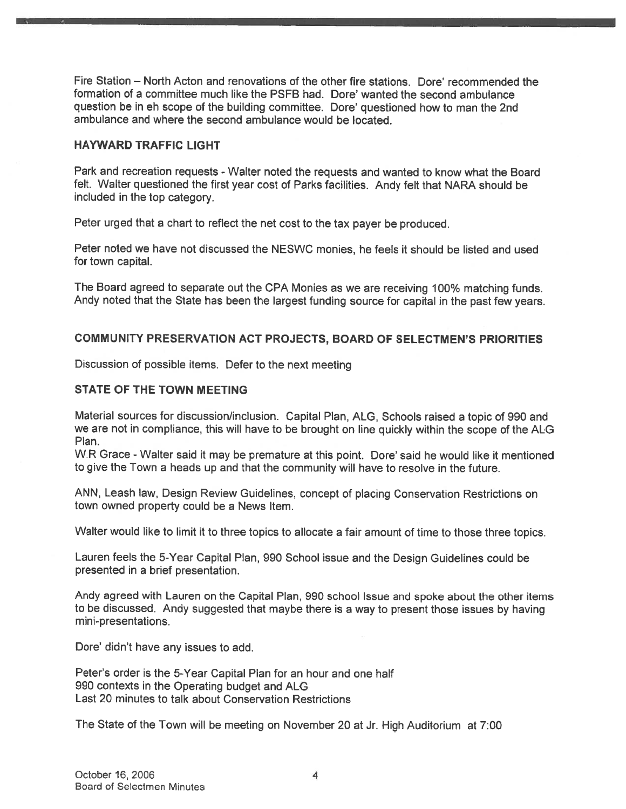Fire Station — North Acton and renovations of the other fire stations. Dore' recommended the formation of <sup>a</sup> committee much like the PSFB had. Dore' wanted the second ambulance question be in eh scope of the building committee. Dore' questioned how to man the 2nd ambulance and where the second ambulance would be located.

### HAYWARD TRAFFIC LIGHT

Park and recreation requests - Walter noted the requests and wanted to know what the Board felt. Walter questioned the first year cost of Parks facilities. Andy felt that NARA should be included in the top category.

Peter urge<sup>d</sup> that <sup>a</sup> chart to reflect the net cost to the tax payer be produced.

Peter noted we have not discussed the NESWC monies, he feels it should be listed and used for town capital.

The Board agree<sup>d</sup> to separate out the CPA Monies as we are receiving 100% matching funds. Andy noted that the State has been the largest funding source for capital in the pas<sup>t</sup> few years.

### COMMUNITY PRESERVATION ACT PROJECTS, BOARD OF SELECTMEN'S PRIORITIES

Discussion of possible items. Defer to the next meeting

#### STATE OF THE TOWN MEETING

Material sources for discussion/inclusion. Capital Plan, ALG, Schools raised <sup>a</sup> topic of <sup>990</sup> and we are not in compliance, this will have to be brought on line quickly within the scope of the ALG Plan.

W.R Grace -Walter said it may be premature at this point. Dore' said he would like it mentioned to <sup>g</sup>ive the Town <sup>a</sup> heads up and that the community will have to resolve in the future.

ANN, Leash law, Design Review Guidelines, concep<sup>t</sup> of <sup>p</sup>lacing Conservation Restrictions on town owned property could be <sup>a</sup> News Item.

Walter would like to limit it to three topics to allocate <sup>a</sup> fair amount of time to those three topics.

Lauren feels the 5-Year Capital Plan, <sup>990</sup> School issue and the Design Guidelines could be presented in <sup>a</sup> brief presentation.

Andy agree<sup>d</sup> with Lauren on the Capital Plan, 990 school Issue and spoke about the other items to be discussed. Andy suggested that maybe there is <sup>a</sup> way to presen<sup>t</sup> those issues by having mini-presentations.

Dore' didn't have any issues to add.

Peter's order is the 5-Year Capital Plan for an hour and one half 990 contexts in the Operating budget and ALG Last 20 minutes to talk about Conservation Restrictions

The State of the Town will be meeting on November <sup>20</sup> at Jr. High Auditorium at 7:00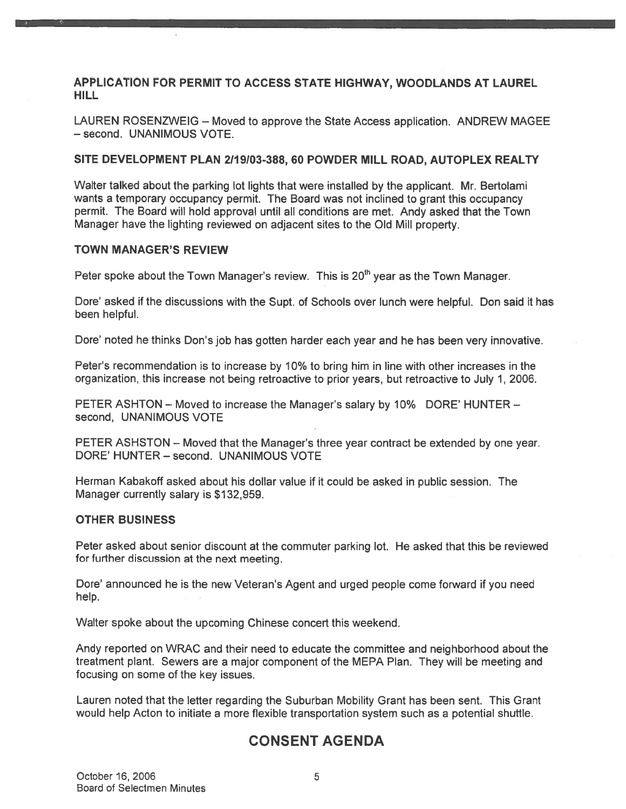APPLICATION FOR PERMIT TO ACCESS STATE HIGHWAY, WOODLANDS AT LAUREL HILL

LAUREN ROSENZWEIG — Moved to approve the State Access application. ANDREW MAGEE — second. UNANIMOUS VOTE.

#### SITE DEVELOPMENT PLAN 2/19/03-388, 60 POWDER MILL ROAD, AUTOPLEX REALTY

Walter talked about the parking lot lights that were installed by the applicant. Mr. Bertolami wants <sup>a</sup> temporary occupancy permit. The Board was not inclined to gran<sup>t</sup> this occupancy permit. The Board will hold approval until all conditions are met. Andy asked that the Town Manager have the lighting reviewed on adjacent sites to the Old Mill property.

#### TOWN MANAGER'S REVIEW

Peter spoke about the Town Manager's review. This is  $20<sup>th</sup>$  year as the Town Manager.

Dore' asked if the discussions with the Supt. of Schools over lunch were helpful. Don said it has been helpful.

Dore' noted he thinks Don's job has gotten harder each year and he has been very innovative.

Peter's recommendation is to increase by 10% to bring him in line with other increases in the organization, this increase not being retroactive to prior years, but retroactive to July 1, 2006.

PETER ASHTON — Moved to increase the Manager's salary by 10% DORE' HUNTER second, UNANIMOUS VOTE

PETER ASHSTON — Moved that the Manager's three year contract be extended by one year. DORE' HUNTER — second. UNANIMOUS VOTE

Herman Kabakoff asked about his dollar value if it could be asked in public session. The Manager currently salary is \$132,959.

#### OTHER BUSINESS

Peter asked about senior discount at the commuter parking lot. He asked that this be reviewed for further discussion at the next meeting.

Dore' announced he is the new Veteran's Agent and urged people come forward if you need help.

Walter spoke about the upcoming Chinese concert this weekend.

Andy reported on WRAC and their need to educate the committee and neighborhood about the treatment plant. Sewers are <sup>a</sup> major componen<sup>t</sup> of the MEPA Plan. They will be meeting and focusing on some of the key issues.

Lauren noted that the letter regarding the Suburban Mobility Grant has been sent. This Grant would help Acton to initiate <sup>a</sup> more flexible transportation system such as <sup>a</sup> potential shuttle.

### CONSENT AGENDA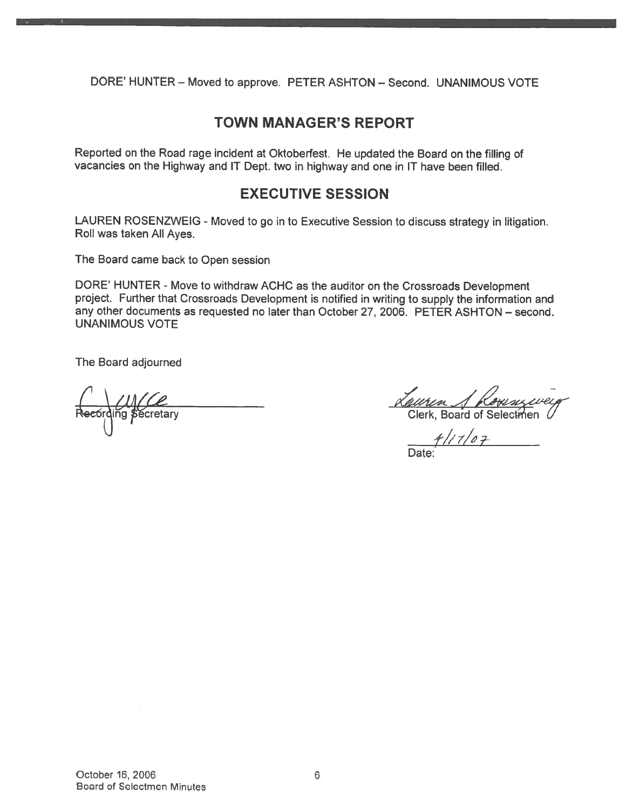DORE' HUNTER — Moved to approve. PETER ASHTON — Second. UNANIMOUS VOTE

## TOWN MANAGER'S REPORT

Reported on the Road rage incident at Oktoberfest. He updated the Board on the filling of vacancies on the Highway and IT Dept. two in highway and one in IT have been filled.

# EXECUTIVE SESSION

LAUREN ROSENZWEIG - Moved to go in to Executive Session to discuss strategy in litigation. Roll was taken All Ayes.

The Board came back to Open session

DORE' HUNTER - Move to withdraw ACHC as the auditor on the Crossroads Development project. Further that Crossroads Development is notified in writing to supply the information and any other documents as requested no later than October 27, 2006. PETER ASHTON — second. UNANIMOUS VOTE

The Board adjourned

Recording Secretary

<u>Lauren J Kownzeven</u><br>Clerk, Board of Selectmen

Date: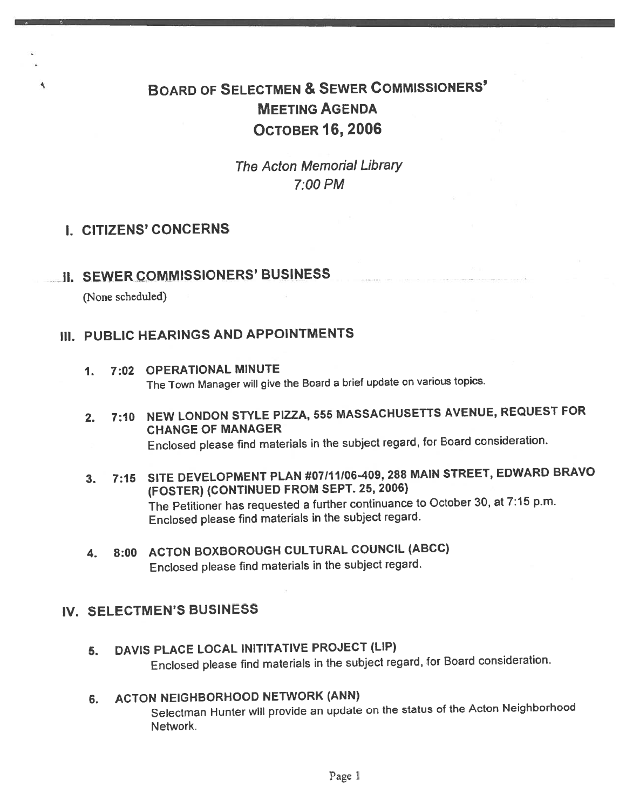# BOARD OF SELECTMEN & SEWER CoMMIssIoNERs' MEETING AGENDA OCTOBER 16, 2006

The Acton Memorial Library 7:00 PM

# I. CITIZENS' CONCERNS

**II. SEWER COMMISSIONERS' BUSINESS** 

(None scheduled)

٩

# Ill. PUBLIC HEARINGS AND APPOINTMENTS

- 1. 7:02 OPERATIONAL MINUTE The Town Manager will <sup>g</sup>ive the Board <sup>a</sup> brief update on various topics.
- 2. 7:10 NEW LONDON STYLE PIZZA, <sup>555</sup> MASSACHUSETTS AVENUE, REQUEST FOR CHANGE OF MANAGER Enclosed <sup>p</sup>lease find materials in the subject regard, for Board consideration.
- 3. 7:15 SITE DEVELOPMENT PLAN #07111106-409, <sup>288</sup> MAIN STREET, EDWARD BRAVO (FOSTER) (CONTINUED FROM SEPT. 25, 2006) The Petitioner has requested <sup>a</sup> further continuance to October 30, at 7:15 p.m. Enclosed <sup>p</sup>lease find materials in the subject regard.
- 4. 8:00 ACTON BOXBOROUGH CULTURAL COUNCIL (ABCC) Enclosed <sup>p</sup>lease find materials in the subject regard.

# IV. SELECTMEN'S BUSINESS

5. DAVIS PLACE LOCAL INITITATIVE PROJECT (LIP) Enclosed <sup>p</sup>lease find materials in the subject regard, for Board consideration.

### 6. ACTON NEIGHBORHOOD NETWORK (ANN)

Selectman Hunter will provide an update on the status of the Acton Neighborhood Network.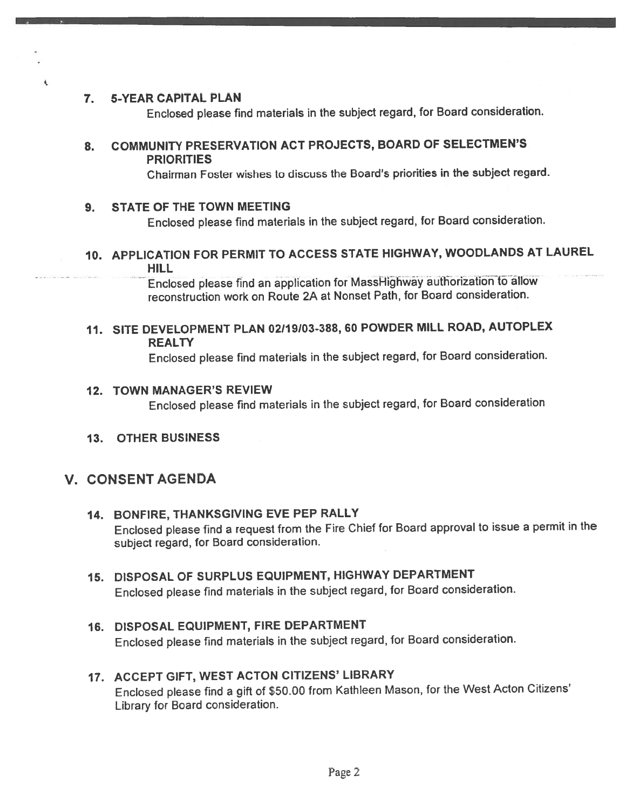### 7. 5-YEAR CAPITAL PLAN

 $\mathbf t$ 

Enclosed <sup>p</sup>lease find materials in the subject regard, for Board consideration.

### 8. COMMUNiTY PRESERVATION ACT PROJECTS, BOARD OF SELECTMEN'S PRIORITIES

Chairman Foster wishes to discuss the Board's priorities in the subject regard.

### 9. STATE OF THE TOWN MEETiNG

Enclosed <sup>p</sup>lease find materials in the subject regard, for Board consideration.

### 10. APPLICATION FOR PERMIT TO ACCESS STATE HIGHWAY, WOODLANDS AT LAUREL HILL

Enclosed please find an application for MassHighway authorization to allow reconstruction work on Route 2A at Nonset Path, for Board consideration.

11. SITE DEVELOPMENT PLAN 02/19/03-388, 60 POWDER MILL ROAD, AUTOPLEX **REALTY** 

Enclosed <sup>p</sup>lease find materials in the subject regard, for Board consideration.

#### 12. TOWN MANAGER'S REVIEW

Enclosed <sup>p</sup>lease find materials in the subject regard, for Board consideration

13. OTHER BUSINESS

### V. CONSENT AGENDA

# 14. BONFIRE, THANKSGIVING EVE PEP RALLY

Enclosed <sup>p</sup>lease find <sup>a</sup> reques<sup>t</sup> from the Fire Chief for Board approva<sup>l</sup> to issue <sup>a</sup> permit in the subject regard, for Board consideration.

### 15. DISPOSAL OF SURPLUS EQUIPMENT, HIGHWAY DEPARTMENT Enclosed <sup>p</sup>lease find materials in the subject regard, for Board consideration.

### 16. DISPOSAL EQUIPMENT, FIRE DEPARTMENT Enclosed <sup>p</sup>lease find materials in the subject regard, for Board consideration.

### 17. ACCEPT GIFT, WEST ACTON CITIZENS' LIBRARY Enclosed <sup>p</sup>lease find <sup>a</sup> <sup>g</sup>ift of \$50.00 from Kathleen Mason, for the West Acton Citizens' Library fot Board consideration.